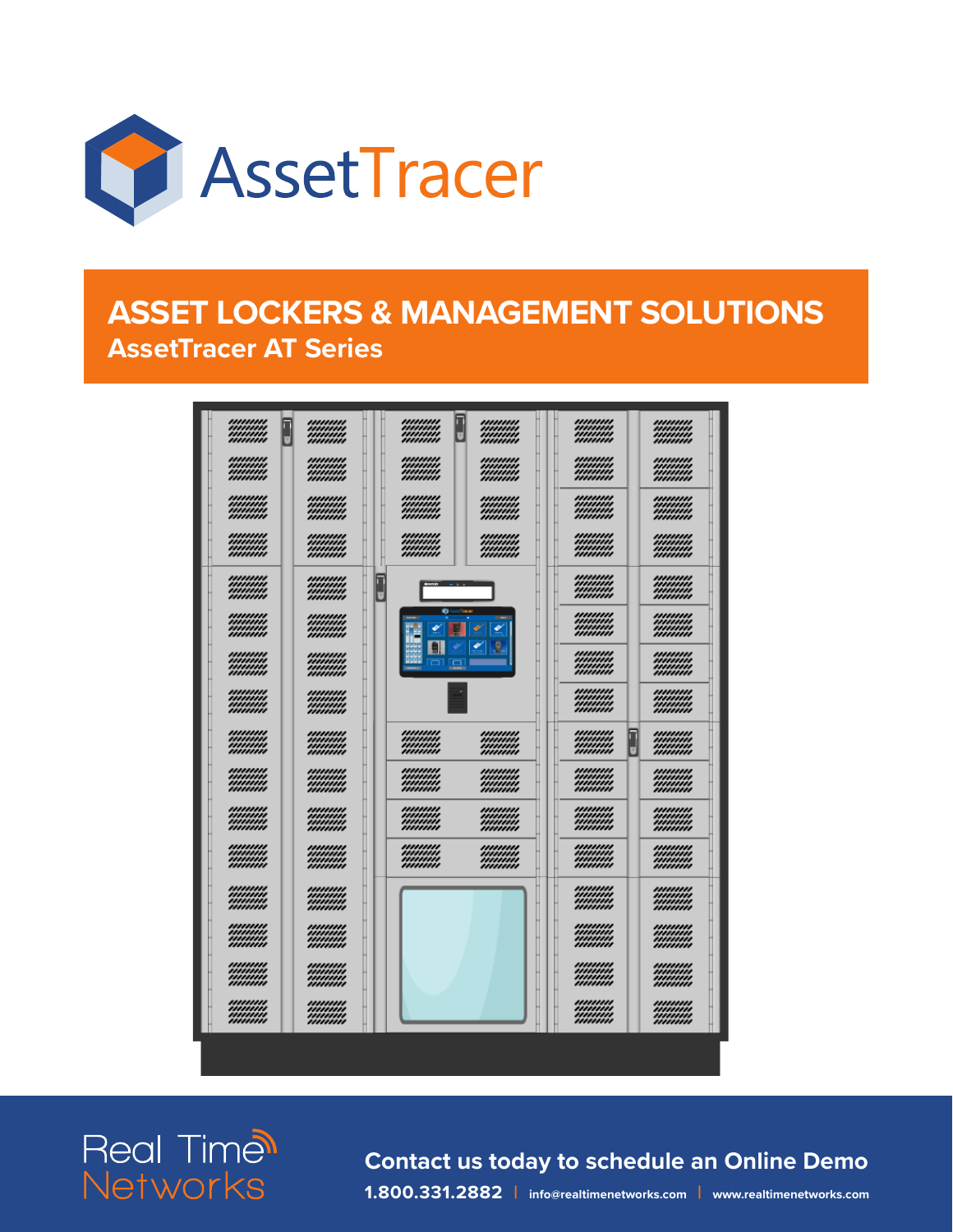

### **ASSET LOCKERS & MANAGEMENT SOLUTIONS AssetTracer AT Series**



**Real Time<sup>®</sup>** Networks

**Contact us today to schedule an Online Demo 1.800.331.2882 | info@realtimenetworks.com | www.realtimenetworks.com**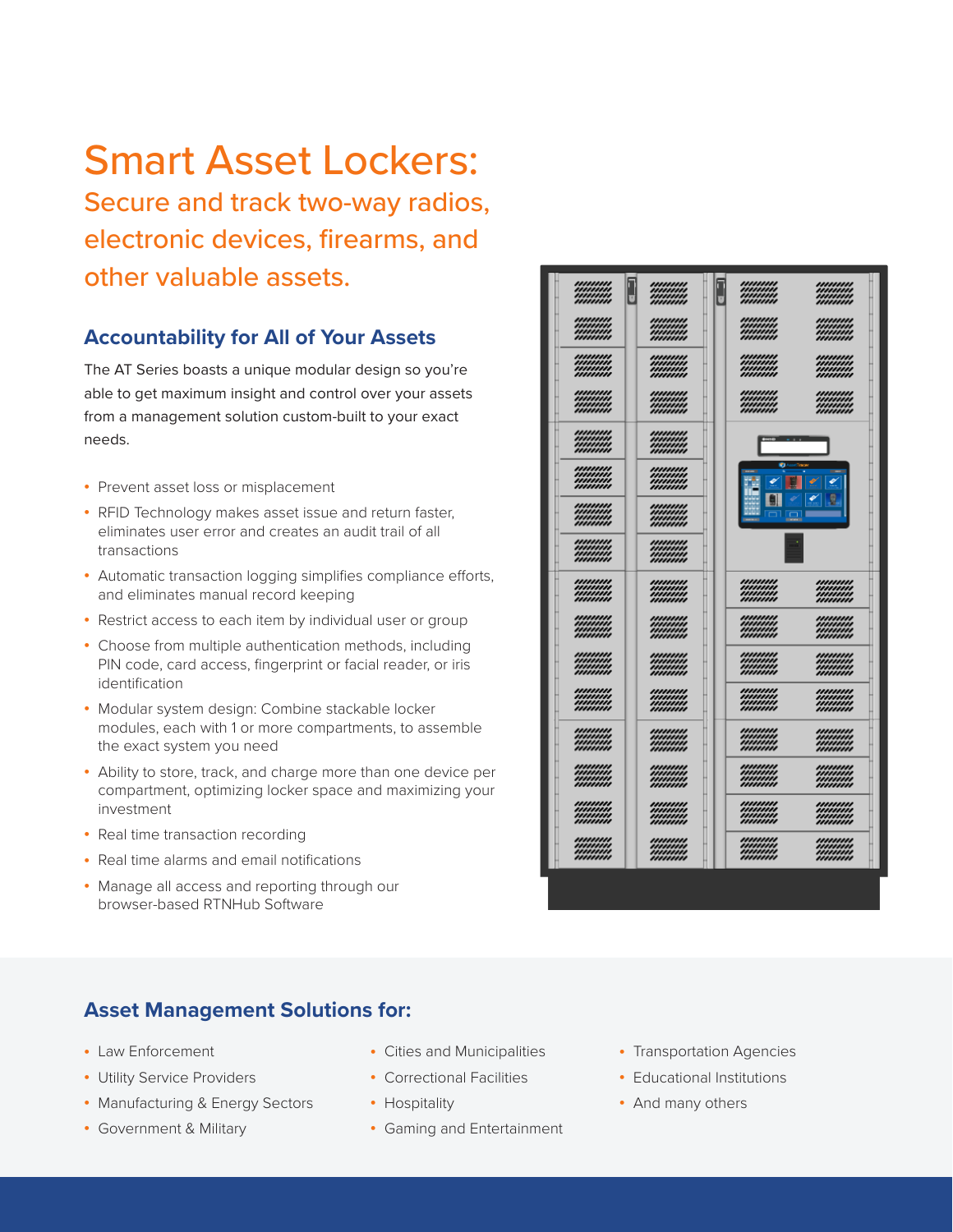## Smart Asset Lockers:

Secure and track two-way radios, electronic devices, firearms, and other valuable assets.

### **Accountability for All of Your Assets**

The AT Series boasts a unique modular design so you're able to get maximum insight and control over your assets from a management solution custom-built to your exact needs.

- Prevent asset loss or misplacement
- RFID Technology makes asset issue and return faster, eliminates user error and creates an audit trail of all transactions
- Automatic transaction logging simplifies compliance efforts, and eliminates manual record keeping
- Restrict access to each item by individual user or group
- Choose from multiple authentication methods, including PIN code, card access, fingerprint or facial reader, or iris identification
- Modular system design: Combine stackable locker modules, each with 1 or more compartments, to assemble the exact system you need
- Ability to store, track, and charge more than one device per compartment, optimizing locker space and maximizing your investment
- Real time transaction recording
- Real time alarms and email notifications
- Manage all access and reporting through our browser-based RTNHub Software

### **Asset Management Solutions for:**

- Law Enforcement
- Utility Service Providers
- Manufacturing & Energy Sectors
- Government & Military
- Cities and Municipalities
- Correctional Facilities
- Hospitality
- Gaming and Entertainment
- Transportation Agencies
- Educational Institutions
- And many others

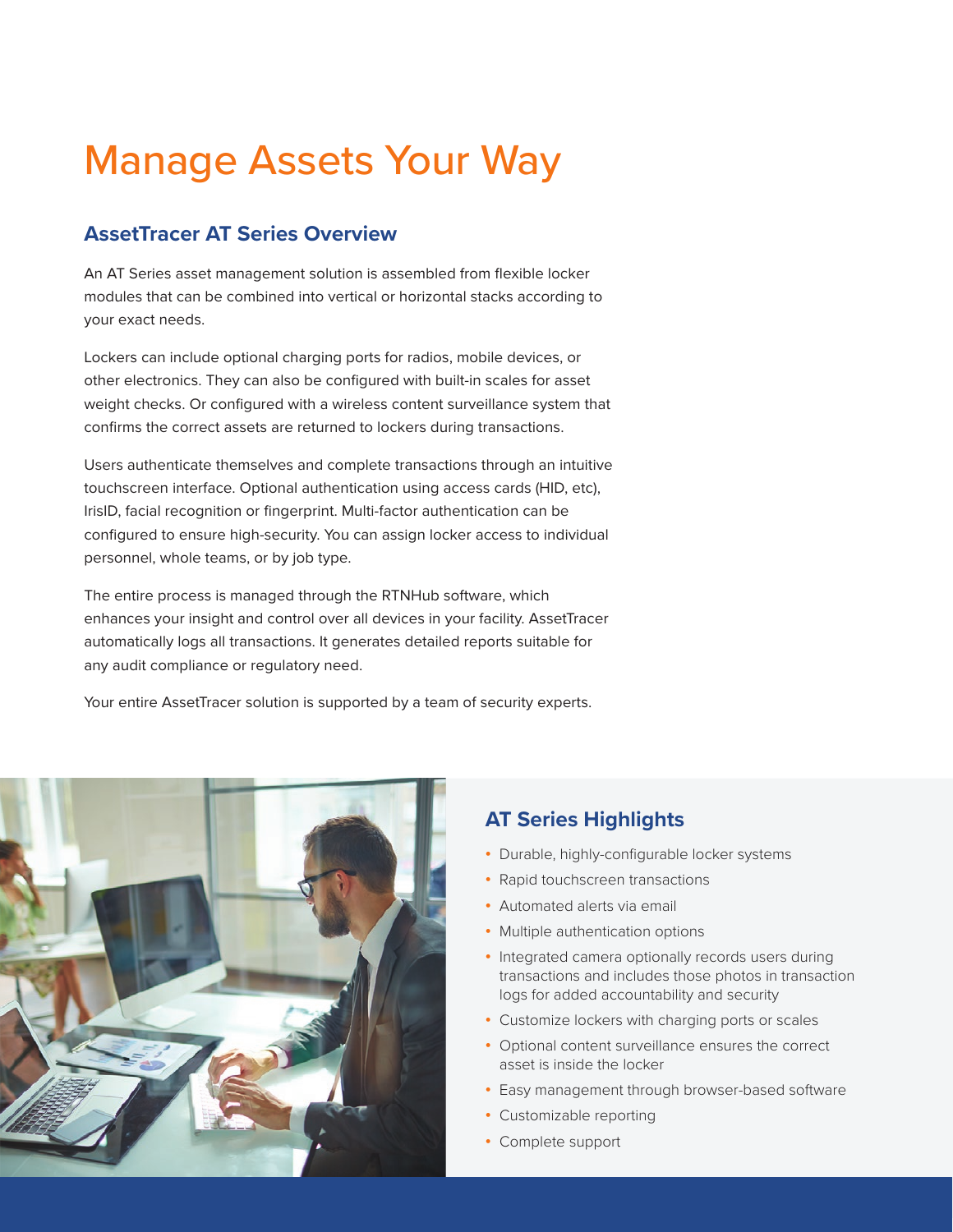## Manage Assets Your Way

### **AssetTracer AT Series Overview**

An AT Series asset management solution is assembled from flexible locker modules that can be combined into vertical or horizontal stacks according to your exact needs.

Lockers can include optional charging ports for radios, mobile devices, or other electronics. They can also be configured with built-in scales for asset weight checks. Or configured with a wireless content surveillance system that confirms the correct assets are returned to lockers during transactions.

Users authenticate themselves and complete transactions through an intuitive touchscreen interface. Optional authentication using access cards (HID, etc), IrisID, facial recognition or fingerprint. Multi-factor authentication can be configured to ensure high-security. You can assign locker access to individual personnel, whole teams, or by job type.

The entire process is managed through the RTNHub software, which enhances your insight and control over all devices in your facility. AssetTracer automatically logs all transactions. It generates detailed reports suitable for any audit compliance or regulatory need.

Your entire AssetTracer solution is supported by a team of security experts.



### **AT Series Highlights**

- Durable, highly-configurable locker systems
- Rapid touchscreen transactions
- Automated alerts via email
- Multiple authentication options
- Integrated camera optionally records users during transactions and includes those photos in transaction logs for added accountability and security
- Customize lockers with charging ports or scales
- Optional content surveillance ensures the correct asset is inside the locker
- Easy management through browser-based software
- Customizable reporting
- Complete support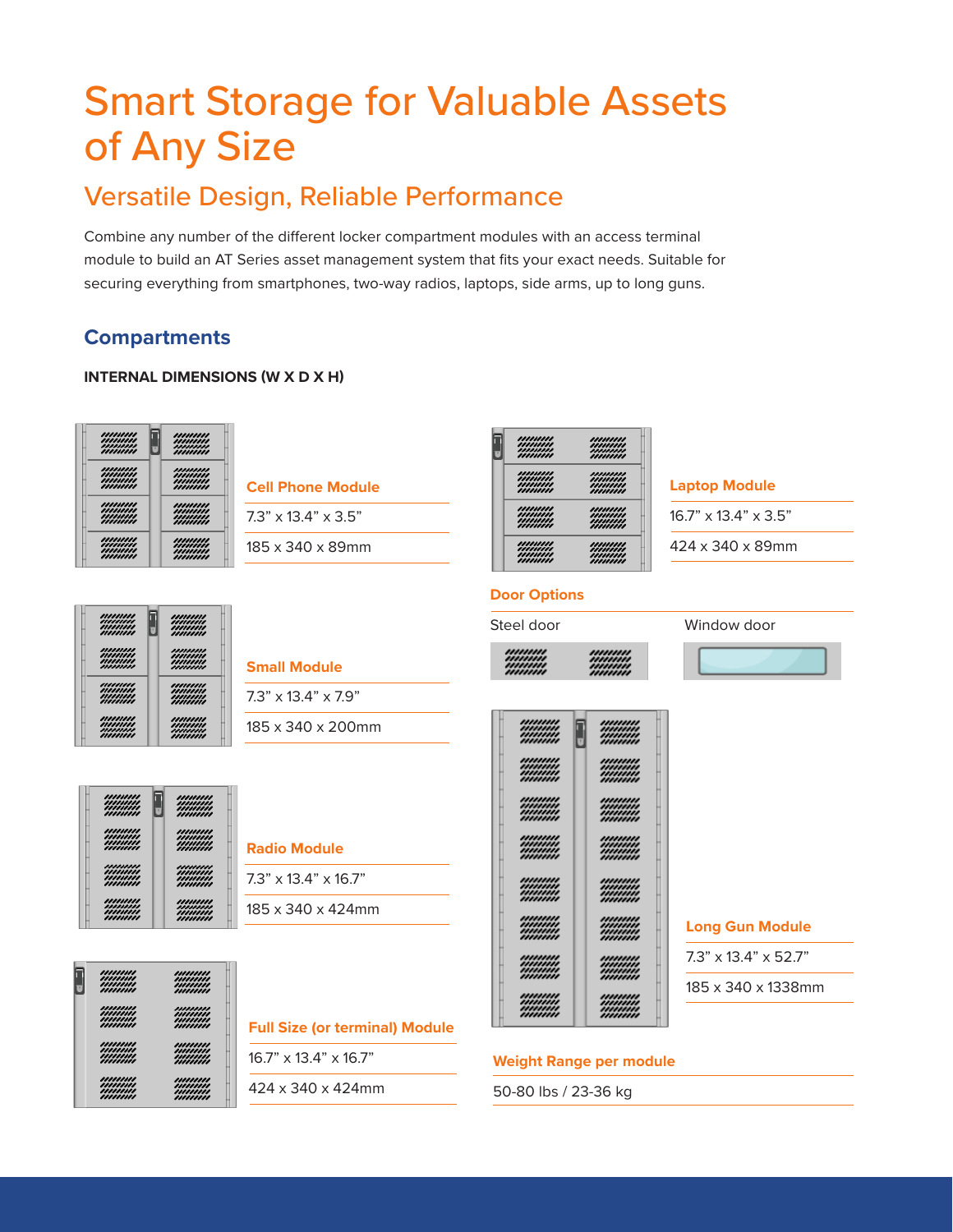## Smart Storage for Valuable Assets of Any Size

### Versatile Design, Reliable Performance

Combine any number of the different locker compartment modules with an access terminal module to build an AT Series asset management system that fits your exact needs. Suitable for securing everything from smartphones, two-way radios, laptops, side arms, up to long guns.

### **Compartments**

### **INTERNAL DIMENSIONS (W X D X H)**



| <b>Cell Phone Module</b>        |
|---------------------------------|
| $7.3" \times 13.4" \times 3.5"$ |

185 x 340 x 89mm

| П<br>U | ,,,,,,,,,<br>,,,,,,,,,<br>,,,,,,,,,<br>,,,,,,,,, | ,,,,,,,,,<br>,,,,,,,,,<br>,,,,,,,,,<br>,,,,,,,,, |
|--------|--------------------------------------------------|--------------------------------------------------|
|        | ,,,,,,,,,<br>,,,,,,,,,<br>,,,,,,,,,<br>,,,,,,,,, | ,,,,,,,,,<br>,,,,,,,,,<br>,,,,,,,,,<br>,,,,,,,,, |
|        | ,,,,,,,,,<br>,,,,,,,,,<br>,,,,,,,,,<br>,,,,,,,,, | ,,,,,,,,,<br>,,,,,,,,,<br>,,,,,,,,,<br>,,,,,,,,, |
|        | ,,,,,,,,,<br>,,,,,,,,,<br>,,,,,,,,,<br>,,,,,,,,, | ,,,,,,,,,<br>,,,,,,,,,<br>,,,,,,,,,<br>,,,,,,,,, |

|  |  | <b>Laptop Module</b> |
|--|--|----------------------|

16.7" x 13.4" x 3.5"

424 x 340 x 89mm

| ,,,,,,,,,<br>,,,,,,,,,<br>,,,,,,,,,<br>,,,,,,,,, | ┳<br>,,,,,,,,,<br>,,,,,,,,,<br>,,,,,,,,,<br>,,,,,,,,, |
|--------------------------------------------------|-------------------------------------------------------|
| ,,,,,,,,,                                        | ,,,,,,,,,                                             |
| ,,,,,,,,,                                        | ,,,,,,,,,                                             |
| ,,,,,,,,,                                        | ,,,,,,,,,                                             |
| ,,,,,,,,,                                        | ,,,,,,,,,                                             |
| ,,,,,,,,,                                        | ,,,,,,,,,                                             |
| ,,,,,,,,,                                        | ,,,,,,,,,                                             |
| ,,,,,,,,,                                        | ,,,,,,,,,                                             |
| ,,,,,,,,,                                        | ,,,,,,,,,                                             |
| ,,,,,,,,,                                        | ,,,,,,,,,                                             |
| ,,,,,,,,,                                        | ,,,,,,,,,                                             |
| ,,,,,,,,,                                        | ,,,,,,,,,                                             |
| ,,,,,,,,,                                        | ,,,,,,,,,                                             |

| <b>Small Module</b>             |
|---------------------------------|
| $7.3" \times 13.4" \times 7.9"$ |

185 x 340 x 200mm



| <b>Radio Module</b>              |
|----------------------------------|
| $7.3" \times 13.4" \times 16.7"$ |
| 185 x 340 x 424mm                |



| <b>Full Size (or terminal) Module</b> |
|---------------------------------------|
| $16.7$ " x $13.4$ " x $16.7$ "        |
| 424 x 340 x 424mm                     |

| ,,,,,,,,, | ,,,,,,,, |
|-----------|----------|
| ,,,,,,,,, | ,,,,,,,, |
| ,,,,,,,,, | ,,,,,,,, |
| ,,,,,,,,, | ,,,,,,,, |
|           |          |

**Door Options**



### Steel door Window door



**Long Gun Module**

7.3" x 13.4" x 52.7"

185 x 340 x 1338mm

### **Weight Range per module**

50-80 lbs / 23-36 kg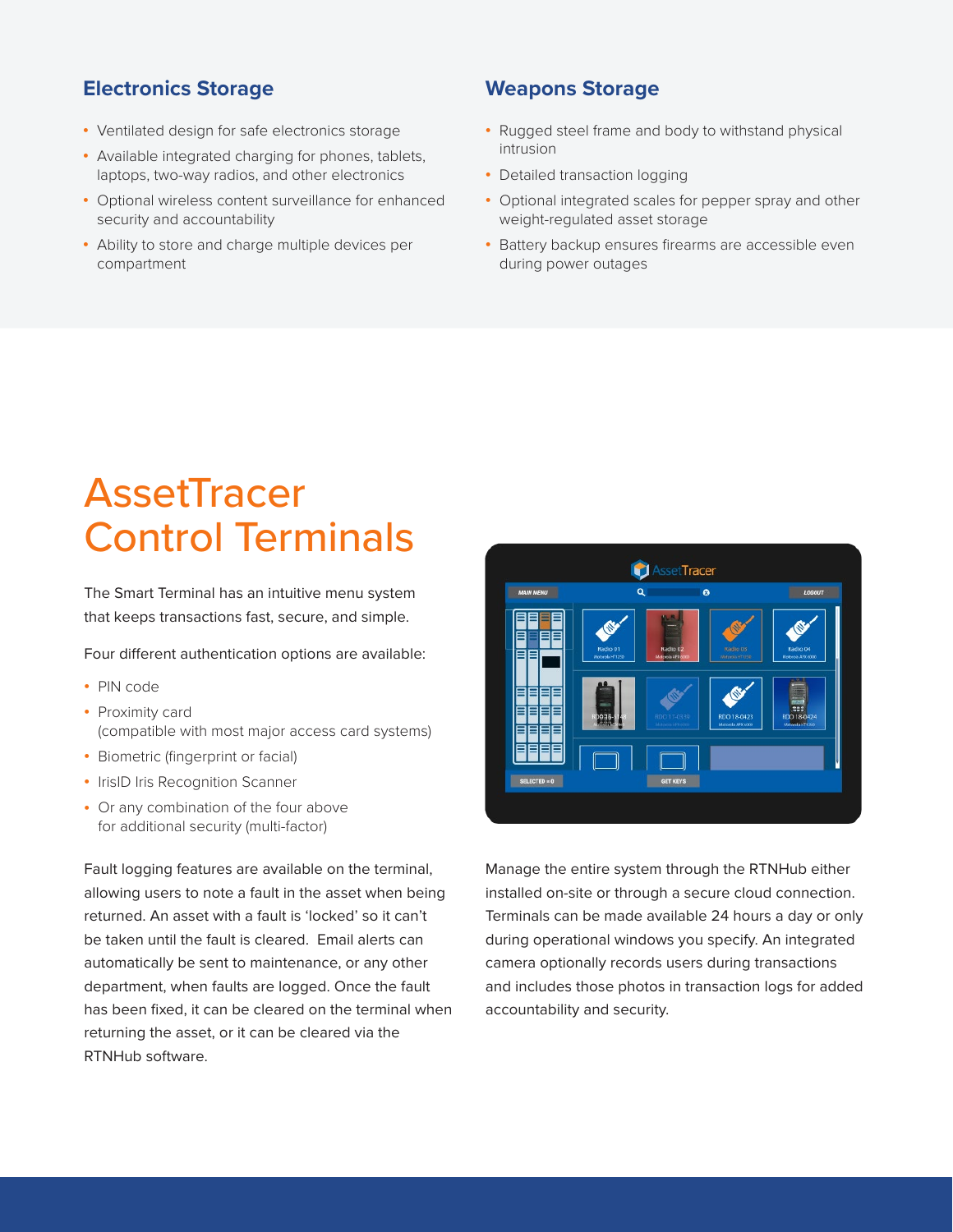### **Electronics Storage Weapons Storage**

- Ventilated design for safe electronics storage
- Available integrated charging for phones, tablets, laptops, two-way radios, and other electronics
- Optional wireless content surveillance for enhanced security and accountability
- Ability to store and charge multiple devices per compartment

- Rugged steel frame and body to withstand physical intrusion
- Detailed transaction logging
- Optional integrated scales for pepper spray and other weight-regulated asset storage
- Battery backup ensures firearms are accessible even during power outages

## **AssetTracer** Control Terminals

The Smart Terminal has an intuitive menu system that keeps transactions fast, secure, and simple.

Four different authentication options are available:

- PIN code
- Proximity card (compatible with most major access card systems)
- Biometric (fingerprint or facial)
- IrisID Iris Recognition Scanner
- Or any combination of the four above for additional security (multi-factor)

Fault logging features are available on the terminal, allowing users to note a fault in the asset when being returned. An asset with a fault is 'locked' so it can't be taken until the fault is cleared. Email alerts can automatically be sent to maintenance, or any other department, when faults are logged. Once the fault has been fixed, it can be cleared on the terminal when returning the asset, or it can be cleared via the RTNHub software.



Manage the entire system through the RTNHub either installed on-site or through a secure cloud connection. Terminals can be made available 24 hours a day or only during operational windows you specify. An integrated camera optionally records users during transactions and includes those photos in transaction logs for added accountability and security.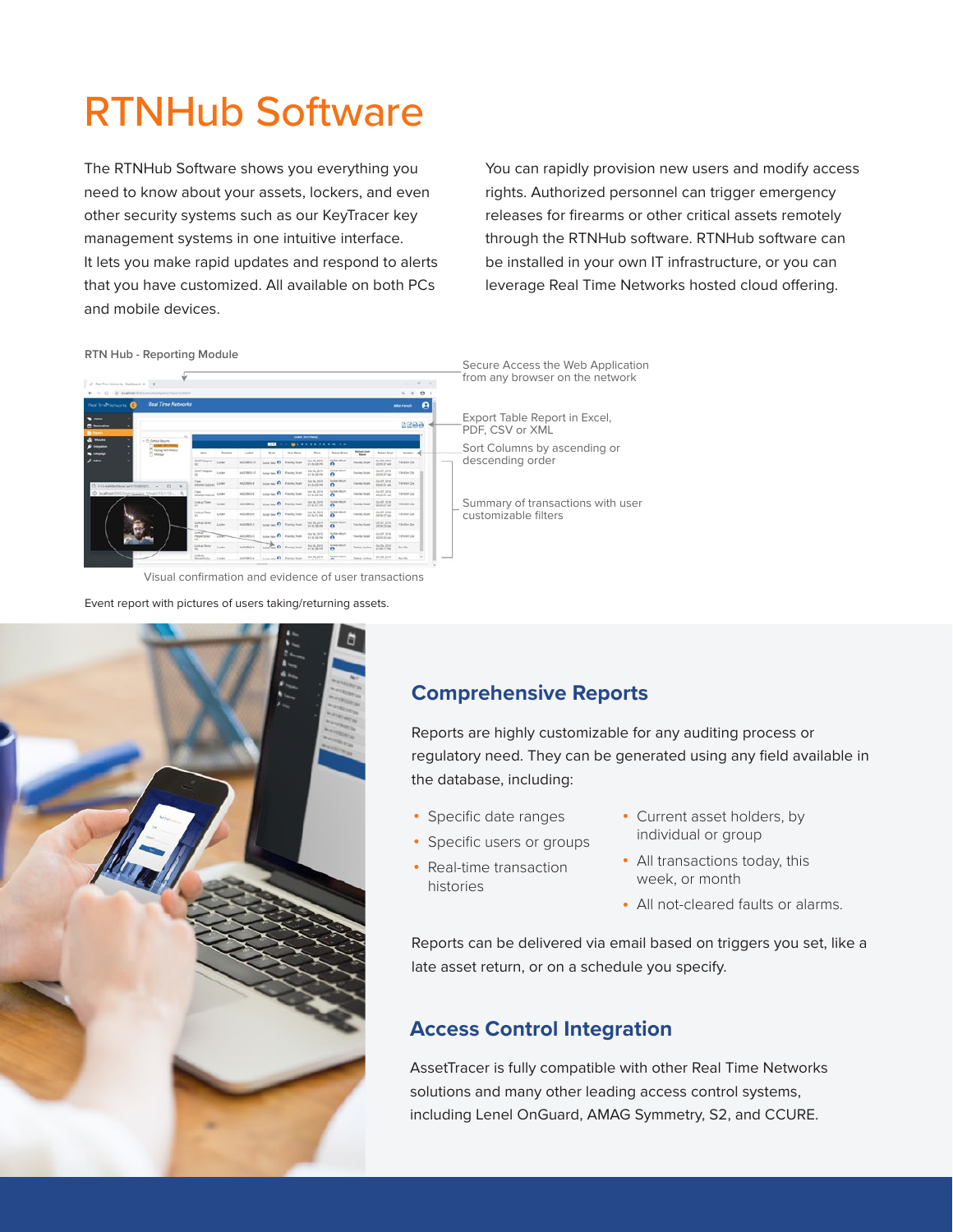## RTNHub Software

The RTNHub Software shows you everything you need to know about your assets, lockers, and even other security systems such as our KeyTracer key management systems in one intuitive interface. It lets you make rapid updates and respond to alerts that you have customized. All available on both PCs and mobile devices.

You can rapidly provision new users and modify access rights. Authorized personnel can trigger emergency releases for firearms or other critical assets remotely through the RTNHub software. RTNHub software can be installed in your own IT infrastructure, or you can leverage Real Time Networks hosted cloud offering.

**RTN Hub - Reporting Module**

|                                                 | 4 - C (D implementation produced and             |                |              |                                       |                  |                                     |                                     |                                |                                         | <b>位 立</b><br>$\boldsymbol{\Theta}$ |  |
|-------------------------------------------------|--------------------------------------------------|----------------|--------------|---------------------------------------|------------------|-------------------------------------|-------------------------------------|--------------------------------|-----------------------------------------|-------------------------------------|--|
| <b>Red TrishNetworks</b><br>a                   | <b>Real Time Networks</b>                        |                |              |                                       |                  |                                     |                                     |                                |                                         | ø<br><b>Attie Fierich</b>           |  |
| -<br><b>Collection</b>                          |                                                  |                |              |                                       |                  |                                     |                                     |                                |                                         | 2200                                |  |
| <b>Malake</b><br>= Et Default Reports           |                                                  |                |              |                                       |                  | <b>Luke ten/fence</b>               |                                     |                                |                                         |                                     |  |
|                                                 | <sup>27</sup> Kertug Nati History<br><b>Book</b> | Teninsi        | Lesberg      | œ<br>Evere                            | <b>Uker Name</b> | <b>BISILISH IN</b><br><b>Time</b>   | <b>Internal rand</b>                | <b>Beture Live</b>             | <b>Renau Your</b>                       | <b>hesian</b> of                    |  |
| C Mikega                                        | SHAT timeser<br>$^{12}$                          | Lodar          | ANDREWS III. | honor aga <b>63</b> French Statt      |                  | Doi DL 2013<br>\$1.54100.000        | <b>Sold column</b><br>$\bullet$     | <b>Madrid</b><br>Tresley linek | SA 07, 2018<br>DOM BY AN                | <b>TRAFFIC TRA</b>                  |  |
|                                                 | <b>DIATA Magazine</b><br>u                       | Lister         | ANTIBRILIO   | tune tax <b>B</b> Easter loan         |                  | <b>60 16, 2818</b><br>41 Sn (d) PM  | <b>Solidar Indiana</b><br>$\bullet$ | Trainfecturer                  | 64 07, 2018<br>08:0637 abd              | 19-die 26-                          |  |
| [3 5-15-lawsmartdocal arts resummers]<br>$\sim$ | Page.<br>PRODUCTIONS: LOOK<br>$a \times$         |                | AKONG &      | <b>NORTHERN FR. FIRMING TOWN</b>      |                  | dan ISC 2018<br>\$1.5x120.9M        | boller return<br>$\bullet$          | <b>Preview Noah</b>            | <b>GAST STE</b><br><b>DESIGN ST ARK</b> | Tilt also 244                       |  |
| @ loalhost@M/lookgaalaxx Mosiv/t51-t3- Q        | Canal<br>meterology Lode                         |                | AIOSBS-E     | bole tax 1 Form tool                  |                  | Grk DK, 261A<br><b>En Saidé-fea</b> | body return.<br>a                   | <b>Preview</b> heart           | Dr+07, 2014<br>05:30 St A&A             | Tilt-Költ-Zieg                      |  |
|                                                 | Lock or Texas<br>×                               | LION           | ASSISTED 6   | <b>International Procession</b>       |                  | DA 74, 2018<br>1154117M             | <b>Internet</b> ue<br>$\bullet$     | Franks, Voan                   | 540,518<br><b>BENGIN ARE</b>            | 191431-234                          |  |
|                                                 | Lookup Team<br>ĸ                                 | Linker         | ANCORRELA    | <b>Islanda B</b> Assistant            |                  | by In, 2018<br><b>415 42-01 284</b> | locker return<br>$\bullet$          | Franke, Most                   | DO 07, 2214                             | 19-45n ZSt                          |  |
|                                                 | LOOK at Some<br>15                               | Linker         | AGDRESS E    | <b>ECONOMIC CO., President Nicola</b> |                  | 0218,2516<br>41.62.68.966           | Inches misun<br>$\bullet$           | Franklin, Model                | DOLUT, 2070.<br>DR 99 25 AM             | 13:45 - 24 a                        |  |
|                                                 | <b>SALEMA</b><br>Person/Javier<br>ĸ              | <b>Titler-</b> | AGUSED-1     | tictarian A services                  |                  | due fai, String<br>11.52-55-744     | Indian return<br>$\bullet$          | <b>Higalet Stat</b>            | GAS5, 2018<br>06.05.20 Mil              | 101404244                           |  |
|                                                 | Linkardamy                                       | Ender          | ANTHROLE     | Louisville, D. Francisco              |                  | Out DE, 2918<br>\$1.52.56.PM        | <b>Schermitz</b><br>$\sqrt{2}$      | Tarme, Joshua                  | 0406,2218<br>03.99.17.9%                | Sm 35c                              |  |
|                                                 | <b>Limited</b><br><b>Barnstown</b>               | <b>Torica</b>  | AANNIBULE    | <b>Suite Lat. 63 Fresholders</b>      |                  | 9038,203                            | faciliar artists                    | Taren John                     | 0.104, 2016                             | Kon Mar                             |  |

Visual confirmation and evidence of user transactions

Event report with pictures of users taking/returning assets.

### Secure Access the Web Application om any browser on the network

xport Table Report in Excel, DF, CSV or XML

ort Columns by ascending or escending order

Summary of transactions with user customizable filters

### **Comprehensive Reports**

Reports are highly customizable for any auditing process or regulatory need. They can be generated using any field available in the database, including:

- Specific date ranges
- Specific users or groups
- Real-time transaction histories
- Current asset holders, by individual or group
- All transactions today, this week, or month
- All not-cleared faults or alarms.

Reports can be delivered via email based on triggers you set, like a late asset return, or on a schedule you specify.

### **Access Control Integration**

AssetTracer is fully compatible with other Real Time Networks solutions and many other leading access control systems, including Lenel OnGuard, AMAG Symmetry, S2, and CCURE.